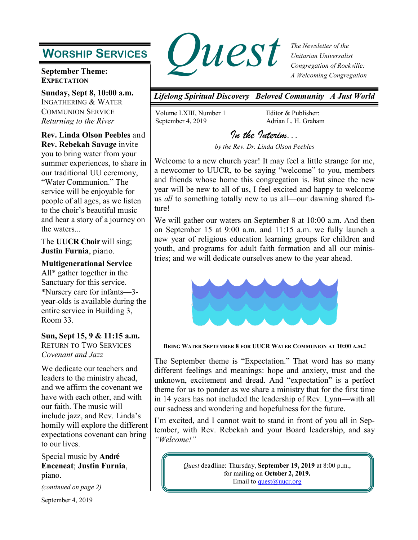# **WORSHIP SERVICES**

### **September Theme: EXPECTATION**

**Sunday, Sept 8, 10:00 a.m.** INGATHERING & WATER COMMUNION SERVICE *Returning to the River*

**Rev. Linda Olson Peebles** and **Rev. Rebekah Savage** invite you to bring water from your summer experiences, to share in our traditional UU ceremony, "Water Communion." The service will be enjoyable for people of all ages, as we listen to the choir's beautiful music and hear a story of a journey on the waters...

The **UUCR Choir**will sing; **Justin Furnia**, piano.

**Multigenerational Service**— All\* gather together in the Sanctuary for this service.

\*Nursery care for infants—3 year-olds is available during the entire service in Building 3, Room 33.

## **Sun, Sept 15, 9 & 11:15 a.m.**

RETURN TO TWO SERVICES *Covenant and Jazz*

We dedicate our teachers and leaders to the ministry ahead, and we affirm the covenant we have with each other, and with our faith. The music will include jazz, and Rev. Linda's homily will explore the different expectations covenant can bring to our lives.

Special music by **André Enceneat**; **Justin Furnia**, piano.

*(continued on page 2)*

September 4, 2019



*The Newsletter of the Unitarian Universalist Congregation of Rockville: A Welcoming Congregation*

*Lifelong Spiritual Discovery Beloved Community A Just World*

Volume LXIII, Number 1 September 4, 2019

Editor & Publisher: Adrian L. H. Graham

*In the Interim...* 

*by the Rev. Dr. Linda Olson Peebles* 

Welcome to a new church year! It may feel a little strange for me, a newcomer to UUCR, to be saying "welcome" to you, members and friends whose home this congregation is. But since the new year will be new to all of us, I feel excited and happy to welcome us *all* to something totally new to us all—our dawning shared future!

We will gather our waters on September 8 at 10:00 a.m. And then on September 15 at 9:00 a.m. and 11:15 a.m. we fully launch a new year of religious education learning groups for children and youth, and programs for adult faith formation and all our ministries; and we will dedicate ourselves anew to the year ahead.



**BRING WATER SEPTEMBER 8 FOR UUCR WATER COMMUNION AT 10:00 A.M.!**

The September theme is "Expectation." That word has so many different feelings and meanings: hope and anxiety, trust and the unknown, excitement and dread. And "expectation" is a perfect theme for us to ponder as we share a ministry that for the first time in 14 years has not included the leadership of Rev. Lynn—with all our sadness and wondering and hopefulness for the future.

I'm excited, and I cannot wait to stand in front of you all in September, with Rev. Rebekah and your Board leadership, and say *"Welcome!"*

> *Quest* deadline: Thursday, **September 19, 2019** at 8:00 p.m., for mailing on **October 2, 2019.** Email to quest $@$ uucr.org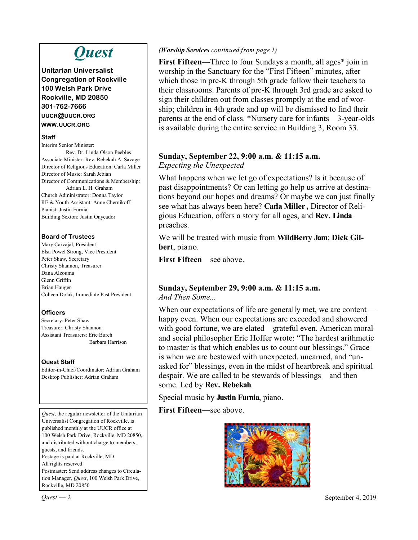# *Quest*

**Unitarian Universalist Congregation of Rockville 100 Welsh Park Drive Rockville, MD 20850 301-762-7666 UUCR@UUCR.ORG WWW.UUCR.ORG**

### **Staff**

Interim Senior Minister: Rev. Dr. Linda Olson Peebles Associate Minister: Rev. Rebekah A. Savage Director of Religious Education: Carla Miller Director of Music: Sarah Jebian Director of Communications & Membership: Adrian L. H. Graham Church Administrator: Donna Taylor RE & Youth Assistant: Anne Chernikoff Pianist: Justin Furnia Building Sexton: Justin Onyeador

### **Board of Trustees**

Mary Carvajal, President Elsa Powel Strong, Vice President Peter Shaw, Secretary Christy Shannon, Treasurer Dana Alzouma Glenn Griffin Brian Haugen Colleen Dolak, Immediate Past President

## **Officers**

Secretary: Peter Shaw Treasurer: Christy Shannon Assistant Treasurers: Eric Burch Barbara Harrison

## **Quest Staff**

Editor-in-Chief/Coordinator: Adrian Graham Desktop Publisher: Adrian Graham

*Quest*, the regular newsletter of the Unitarian Universalist Congregation of Rockville, is published monthly at the UUCR office at 100 Welsh Park Drive, Rockville, MD 20850, and distributed without charge to members, guests, and friends. Postage is paid at Rockville, MD. All rights reserved. Postmaster: Send address changes to Circulation Manager, *Quest*, 100 Welsh Park Drive, Rockville, MD 20850

### *(Worship Services continued from page 1)*

**First Fifteen—Three to four Sundays a month, all ages\*** join in worship in the Sanctuary for the "First Fifteen" minutes, after which those in pre-K through 5th grade follow their teachers to their classrooms. Parents of pre-K through 3rd grade are asked to sign their children out from classes promptly at the end of worship; children in 4th grade and up will be dismissed to find their parents at the end of class. \*Nursery care for infants—3-year-olds is available during the entire service in Building 3, Room 33.

## **Sunday, September 22, 9:00 a.m. & 11:15 a.m.** *Expecting the Unexpected*

What happens when we let go of expectations? Is it because of past disappointments? Or can letting go help us arrive at destinations beyond our hopes and dreams? Or maybe we can just finally see what has always been here? **Carla Miller ,** Director of Religious Education, offers a story for all ages, and **Rev. Linda**  preaches.

We will be treated with music from **WildBerry Jam**; **Dick Gilbert**, piano.

**First Fifteen**—see above.

### **Sunday, September 29, 9:00 a.m. & 11:15 a.m.** *And Then Some...*

When our expectations of life are generally met, we are content happy even. When our expectations are exceeded and showered with good fortune, we are elated—grateful even. American moral and social philosopher Eric Hoffer wrote: "The hardest arithmetic to master is that which enables us to count our blessings." Grace is when we are bestowed with unexpected, unearned, and "unasked for" blessings, even in the midst of heartbreak and spiritual despair. We are called to be stewards of blessings—and then some. Led by **Rev. Rebekah**.

Special music by **Justin Furnia**, piano.

**First Fifteen**—see above.



*Quest* — 2 September 4, 2019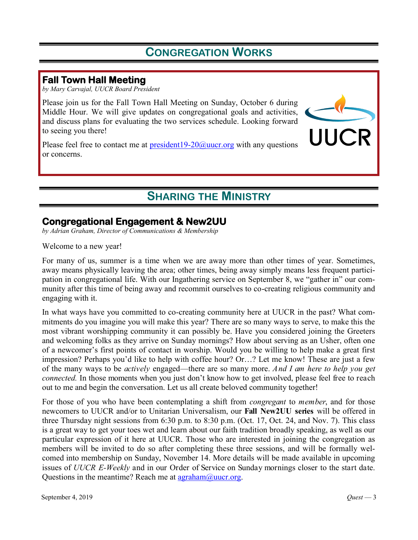# **CONGREGATION WORKS**

# **Fall Town Hall Meeting**

*by Mary Carvajal, UUCR Board President*

Please join us for the Fall Town Hall Meeting on Sunday, October 6 during Middle Hour. We will give updates on congregational goals and activities, and discuss plans for evaluating the two services schedule. Looking forward to seeing you there!

Please feel free to contact me at  $president19-20@uucr.org$  $president19-20@uucr.org$  with any questions or concerns.



# **SHARING THE MINISTRY**

# **Congregational Engagement & New2UU**

*by Adrian Graham, Director of Communications & Membership*

Welcome to a new year!

For many of us, summer is a time when we are away more than other times of year. Sometimes, away means physically leaving the area; other times, being away simply means less frequent participation in congregational life. With our Ingathering service on September 8, we "gather in" our community after this time of being away and recommit ourselves to co-creating religious community and engaging with it.

In what ways have you committed to co-creating community here at UUCR in the past? What commitments do you imagine you will make this year? There are so many ways to serve, to make this the most vibrant worshipping community it can possibly be. Have you considered joining the Greeters and welcoming folks as they arrive on Sunday mornings? How about serving as an Usher, often one of a newcomer's first points of contact in worship. Would you be willing to help make a great first impression? Perhaps you'd like to help with coffee hour? Or…? Let me know! These are just a few of the many ways to be *actively* engaged—there are so many more. *And I am here to help you get connected.* In those moments when you just don't know how to get involved, please feel free to reach out to me and begin the conversation. Let us all create beloved community together!

For those of you who have been contemplating a shift from *congregant* to *member*, and for those newcomers to UUCR and/or to Unitarian Universalism, our **Fall New2UU series** will be offered in three Thursday night sessions from  $6:30$  p.m. to  $8:30$  p.m. (Oct. 17, Oct. 24, and Nov. 7). This class is a great way to get your toes wet and learn about our faith tradition broadly speaking, as well as our particular expression of it here at UUCR. Those who are interested in joining the congregation as members will be invited to do so after completing these three sessions, and will be formally welcomed into membership on Sunday, November 14. More details will be made available in upcoming issues of *UUCR E-Weekly* and in our Order of Service on Sunday mornings closer to the start date. Questions in the meantime? Reach me at  $\frac{\text{argram}}{\text{argram}}$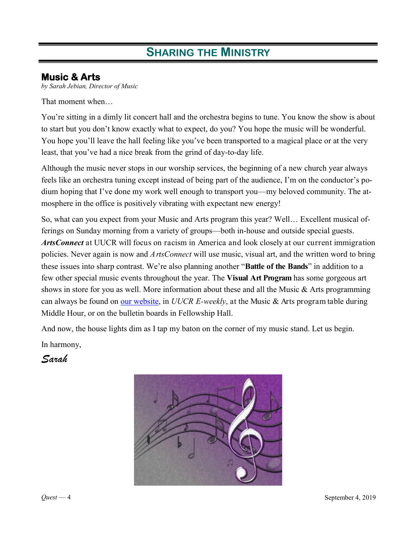# **SHARING THE MINISTRY**

# **Music & Arts**

*by Sarah Jebian, Director of Music*

That moment when…

You're sitting in a dimly lit concert hall and the orchestra begins to tune. You know the show is about to start but you don't know exactly what to expect, do you? You hope the music will be wonderful. You hope you'll leave the hall feeling like you've been transported to a magical place or at the very least, that you've had a nice break from the grind of day-to-day life.

Although the music never stops in our worship services, the beginning of a new church year always feels like an orchestra tuning except instead of being part of the audience, I'm on the conductor's podium hoping that I've done my work well enough to transport you—my beloved community. The atmosphere in the office is positively vibrating with expectant new energy!

So, what can you expect from your Music and Arts program this year? Well… Excellent musical offerings on Sunday morning from a variety of groups—both in-house and outside special guests. *ArtsConnect* at UUCR will focus on racism in America and look closely at our current immigration policies. Never again is now and *ArtsConnect* will use music, visual art, and the written word to bring these issues into sharp contrast. We're also planning another "**Battle of the Bands**" in addition to a few other special music events throughout the year. The **Visual Art Program** has some gorgeous art shows in store for you as well. More information about these and all the Music & Arts programming can always be found on [our website,](https://uucrmusic.weebly.com/) in *UUCR E-weekly*, at the Music & Arts program table during Middle Hour, or on the bulletin boards in Fellowship Hall.

And now, the house lights dim as I tap my baton on the corner of my music stand. Let us begin.

In harmony,

*Sarah*

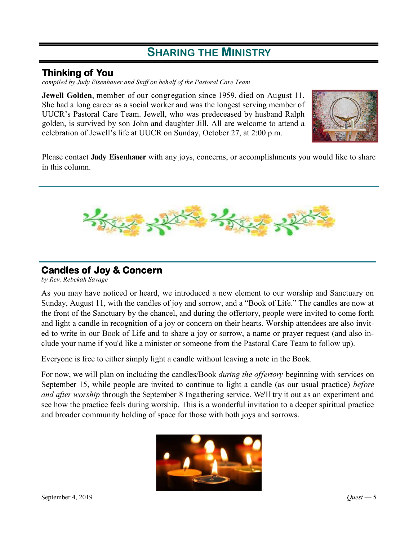# **SHARING THE MINISTRY**

# **Thinking of You**

*compiled by Judy Eisenhauer and Staff on behalf of the Pastoral Care Team*

**Jewell Golden**, member of our congregation since 1959, died on August 11. She had a long career as a social worker and was the longest serving member of UUCR's Pastoral Care Team. Jewell, who was predeceased by husband Ralph golden, is survived by son John and daughter Jill. All are welcome to attend a celebration of Jewell's life at UUCR on Sunday, October 27, at 2:00 p.m.



Please contact **Judy Eisenhauer** with any joys, concerns, or accomplishments you would like to share in this column.



# **Candles of Joy & Concern**

*by Rev. Rebekah Savage*

As you may have noticed or heard, we introduced a new element to our worship and Sanctuary on Sunday, August 11, with the candles of joy and sorrow, and a "Book of Life." The candles are now at the front of the Sanctuary by the chancel, and during the offertory, people were invited to come forth and light a candle in recognition of a joy or concern on their hearts. Worship attendees are also invited to write in our Book of Life and to share a joy or sorrow, a name or prayer request (and also include your name if you'd like a minister or someone from the Pastoral Care Team to follow up).

Everyone is free to either simply light a candle without leaving a note in the Book.

For now, we will plan on including the candles/Book *during the offertory* beginning with services on September 15, while people are invited to continue to light a candle (as our usual practice) *before and after worship* through the September 8 Ingathering service. We'll try it out as an experiment and see how the practice feels during worship. This is a wonderful invitation to a deeper spiritual practice and broader community holding of space for those with both joys and sorrows.